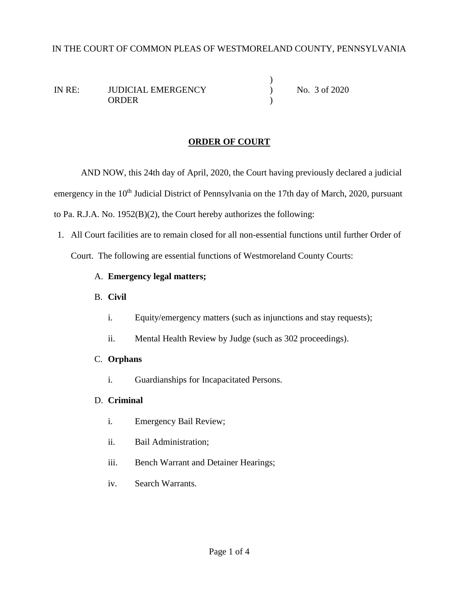### IN THE COURT OF COMMON PLEAS OF WESTMORELAND COUNTY, PENNSYLVANIA

 $\lambda$ IN RE: JUDICIAL EMERGENCY ) No. 3 of 2020 ORDER )

#### **ORDER OF COURT**

AND NOW, this 24th day of April, 2020, the Court having previously declared a judicial emergency in the 10<sup>th</sup> Judicial District of Pennsylvania on the 17th day of March, 2020, pursuant to Pa. R.J.A. No. 1952(B)(2), the Court hereby authorizes the following:

1. All Court facilities are to remain closed for all non-essential functions until further Order of Court. The following are essential functions of Westmoreland County Courts:

### A. **Emergency legal matters;**

- B. **Civil**
	- i. Equity/emergency matters (such as injunctions and stay requests);
	- ii. Mental Health Review by Judge (such as 302 proceedings).

#### C. **Orphans**

i. Guardianships for Incapacitated Persons.

### D. **Criminal**

- i. Emergency Bail Review;
- ii. Bail Administration;
- iii. Bench Warrant and Detainer Hearings;
- iv. Search Warrants.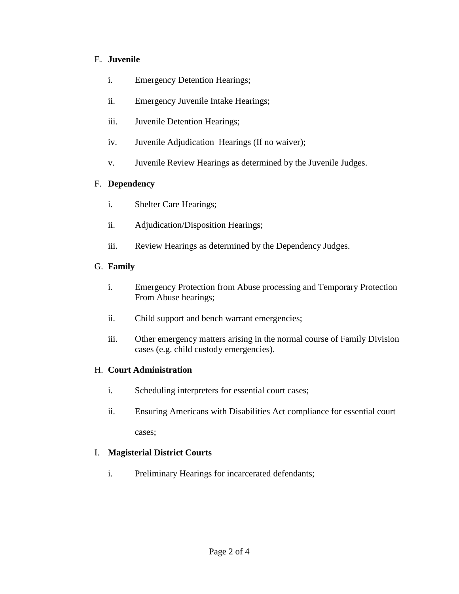### E. **Juvenile**

- i. Emergency Detention Hearings;
- ii. Emergency Juvenile Intake Hearings;
- iii. Juvenile Detention Hearings;
- iv. Juvenile Adjudication Hearings (If no waiver);
- v. Juvenile Review Hearings as determined by the Juvenile Judges.

## F. **Dependency**

- i. Shelter Care Hearings;
- ii. Adjudication/Disposition Hearings;
- iii. Review Hearings as determined by the Dependency Judges.

## G. **Family**

- i. Emergency Protection from Abuse processing and Temporary Protection From Abuse hearings;
- ii. Child support and bench warrant emergencies;
- iii. Other emergency matters arising in the normal course of Family Division cases (e.g. child custody emergencies).

# H. **Court Administration**

- i. Scheduling interpreters for essential court cases;
- ii. Ensuring Americans with Disabilities Act compliance for essential court cases;

# I. **Magisterial District Courts**

i. Preliminary Hearings for incarcerated defendants;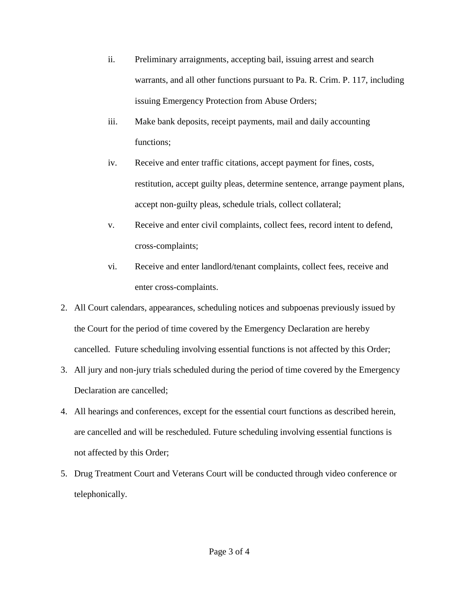- ii. Preliminary arraignments, accepting bail, issuing arrest and search warrants, and all other functions pursuant to Pa. R. Crim. P. 117, including issuing Emergency Protection from Abuse Orders;
- iii. Make bank deposits, receipt payments, mail and daily accounting functions;
- iv. Receive and enter traffic citations, accept payment for fines, costs, restitution, accept guilty pleas, determine sentence, arrange payment plans, accept non-guilty pleas, schedule trials, collect collateral;
- v. Receive and enter civil complaints, collect fees, record intent to defend, cross-complaints;
- vi. Receive and enter landlord/tenant complaints, collect fees, receive and enter cross-complaints.
- 2. All Court calendars, appearances, scheduling notices and subpoenas previously issued by the Court for the period of time covered by the Emergency Declaration are hereby cancelled. Future scheduling involving essential functions is not affected by this Order;
- 3. All jury and non-jury trials scheduled during the period of time covered by the Emergency Declaration are cancelled;
- 4. All hearings and conferences, except for the essential court functions as described herein, are cancelled and will be rescheduled. Future scheduling involving essential functions is not affected by this Order;
- 5. Drug Treatment Court and Veterans Court will be conducted through video conference or telephonically.